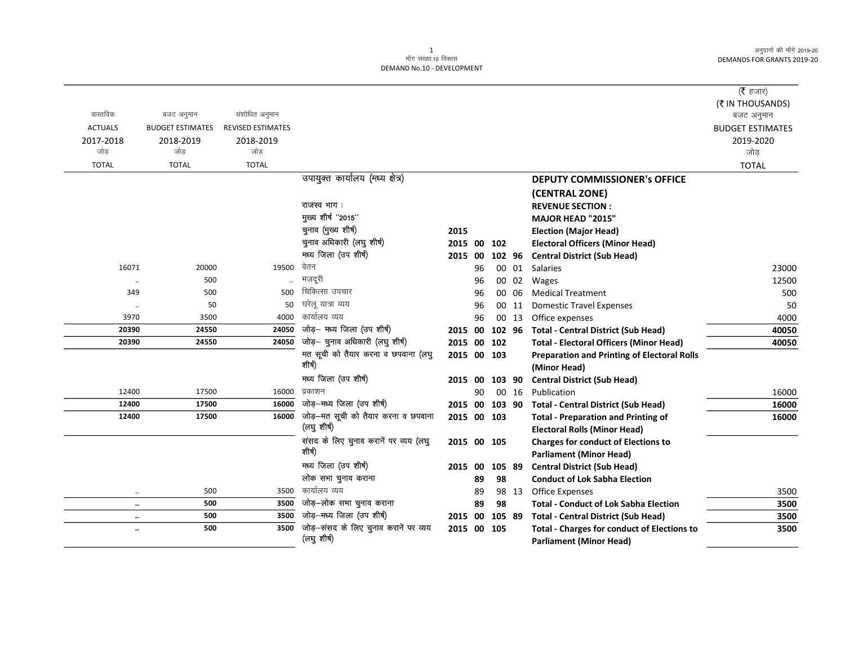|                |                                       |                          |                                                      |                |    |        |       |                                                    | (रै हजार)                             |
|----------------|---------------------------------------|--------------------------|------------------------------------------------------|----------------|----|--------|-------|----------------------------------------------------|---------------------------------------|
| वास्तविक       |                                       | संशोधित अनुमान           |                                                      |                |    |        |       |                                                    | (₹ IN THOUSANDS)                      |
| <b>ACTUALS</b> | बजट अनुमान<br><b>BUDGET ESTIMATES</b> | <b>REVISED ESTIMATES</b> |                                                      |                |    |        |       |                                                    | बजट अनुमान<br><b>BUDGET ESTIMATES</b> |
| 2017-2018      | 2018-2019                             | 2018-2019                |                                                      |                |    |        |       |                                                    | 2019-2020                             |
| जोड            | जोड                                   | जोड                      |                                                      |                |    |        |       |                                                    | जोड                                   |
| <b>TOTAL</b>   | <b>TOTAL</b>                          | <b>TOTAL</b>             |                                                      |                |    |        |       |                                                    | <b>TOTAL</b>                          |
|                |                                       |                          | उपायुक्त कार्यालय (मध्य क्षेत्र)                     |                |    |        |       | <b>DEPUTY COMMISSIONER's OFFICE</b>                |                                       |
|                |                                       |                          |                                                      |                |    |        |       | (CENTRAL ZONE)                                     |                                       |
|                |                                       |                          | राजस्व भाग:                                          |                |    |        |       | <b>REVENUE SECTION:</b>                            |                                       |
|                |                                       |                          | मुख्य शीर्ष "2015"                                   |                |    |        |       | MAJOR HEAD "2015"                                  |                                       |
|                |                                       |                          | चुनाव (मुख्य शीर्ष)                                  | 2015           |    |        |       | <b>Election (Major Head)</b>                       |                                       |
|                |                                       |                          | चुनाव अधिकारी (लघु शीर्ष)                            | 2015 00        |    | 102    |       | <b>Electoral Officers (Minor Head)</b>             |                                       |
|                |                                       |                          | मध्य जिला (उप शीर्ष)                                 | 2015 00        |    | 102 96 |       | <b>Central District (Sub Head)</b>                 |                                       |
| 16071          | 20000                                 | 19500                    | वेतन                                                 |                | 96 |        |       | 00 01 Salaries                                     | 23000                                 |
|                | 500                                   |                          | मजदूरी                                               |                | 96 |        | 00 02 | Wages                                              | 12500                                 |
| 349            | 500                                   | 500                      | चिकित्सा उपचार                                       |                | 96 |        | 00 06 | <b>Medical Treatment</b>                           | 500                                   |
| $\ldots$       | 50                                    | 50                       | घरेलू यात्रा व्यय                                    |                | 96 |        | 00 11 | <b>Domestic Travel Expenses</b>                    | 50                                    |
| 3970           | 3500                                  | 4000                     | कार्यालय व्यय                                        |                | 96 |        | 00 13 | Office expenses                                    | 4000                                  |
| 20390          | 24550                                 | 24050                    | जोड़- मध्य जिला (उप शीर्ष)                           | 2015 00        |    | 102 96 |       | <b>Total - Central District (Sub Head)</b>         | 40050                                 |
| 20390          | 24550                                 | 24050                    | जोड़- चुनाव अधिकारी (लघु शीर्ष)                      | 2015 00        |    | 102    |       | <b>Total - Electoral Officers (Minor Head)</b>     | 40050                                 |
|                |                                       |                          | मत सूची को तैयार करना व छपवाना (लघु                  | 2015 00 103    |    |        |       | <b>Preparation and Printing of Electoral Rolls</b> |                                       |
|                |                                       |                          | शीर्ष)                                               |                |    |        |       | (Minor Head)                                       |                                       |
|                |                                       |                          | मध्य जिला (उप शीर्ष)                                 | 2015 00 103 90 |    |        |       | <b>Central District (Sub Head)</b>                 |                                       |
| 12400          | 17500                                 | 16000                    | प्रकाशन                                              |                | 90 |        | 00 16 | Publication                                        | 16000                                 |
| 12400          | 17500                                 | 16000                    | जोड़-मध्य जिला (उप शीर्ष)                            | 2015 00 103 90 |    |        |       | <b>Total - Central District (Sub Head)</b>         | 16000                                 |
| 12400          | 17500                                 | 16000                    | जोड़–मत सूची को तैयार करना व छपवाना                  | 2015 00 103    |    |        |       | <b>Total - Preparation and Printing of</b>         | 16000                                 |
|                |                                       |                          | (लघु शीर्ष)                                          |                |    |        |       | <b>Electoral Rolls (Minor Head)</b>                |                                       |
|                |                                       |                          | संसद के लिए चुनाव करानें पर व्यय (लघु                | 2015 00 105    |    |        |       | <b>Charges for conduct of Elections to</b>         |                                       |
|                |                                       |                          | शीर्ष)                                               |                |    |        |       | <b>Parliament (Minor Head)</b>                     |                                       |
|                |                                       |                          | मध्य जिला (उप शीर्ष)                                 | 2015 00        |    | 105 89 |       | <b>Central District (Sub Head)</b>                 |                                       |
|                |                                       |                          | लोक सभा चुनाव कराना                                  |                | 89 | 98     |       | <b>Conduct of Lok Sabha Election</b>               |                                       |
|                | 500                                   | 3500                     | कार्यालय व्यय                                        |                | 89 |        | 98 13 | <b>Office Expenses</b>                             | 3500                                  |
| $\ldots$       | 500                                   | 3500                     | जोड़-लोक सभा चुनाव कराना                             |                | 89 | 98     |       | <b>Total - Conduct of Lok Sabha Election</b>       | 3500                                  |
| $\ldots$       | 500                                   | 3500                     | जोड़-मध्य जिला (उप शीर्ष)                            | 2015 00        |    | 105 89 |       | <b>Total - Central District (Sub Head)</b>         | 3500                                  |
| $\ldots$       | 500                                   | 3500                     | जोड़-संसद के लिए चुनाव करानें पर व्यय<br>(लघु शीर्ष) | 2015 00 105    |    |        |       | <b>Total - Charges for conduct of Elections to</b> | 3500                                  |
|                |                                       |                          |                                                      |                |    |        |       | <b>Parliament (Minor Head)</b>                     |                                       |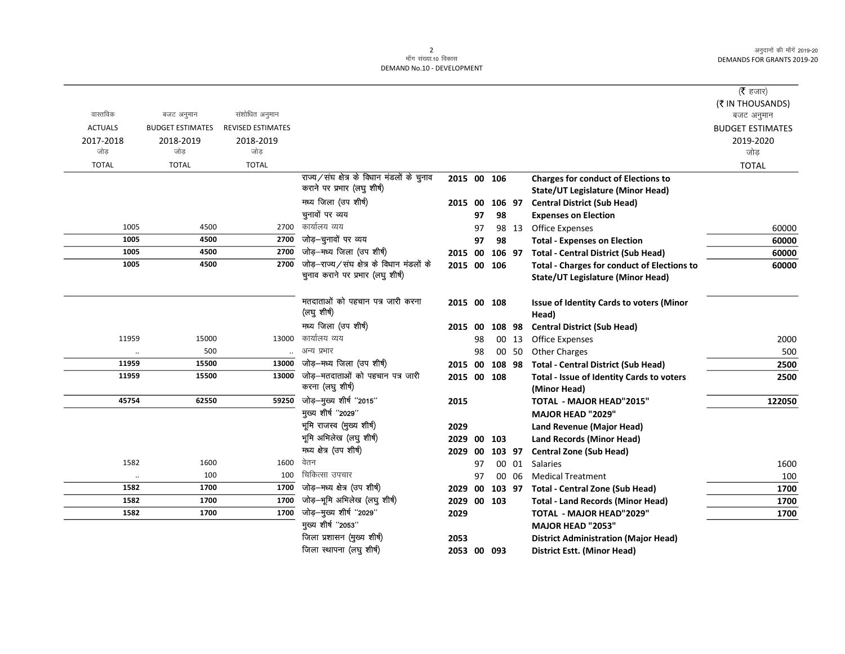|                      |                         |                          |                                            |                |    |        |       |                                                    | ( <b>रै</b> हजार)       |
|----------------------|-------------------------|--------------------------|--------------------------------------------|----------------|----|--------|-------|----------------------------------------------------|-------------------------|
|                      |                         |                          |                                            |                |    |        |       |                                                    | (₹ IN THOUSANDS)        |
| वास्तविक             | बजट अनुमान              | संशोधित अनुमान           |                                            |                |    |        |       |                                                    | बजट अनुमान              |
| <b>ACTUALS</b>       | <b>BUDGET ESTIMATES</b> | <b>REVISED ESTIMATES</b> |                                            |                |    |        |       |                                                    | <b>BUDGET ESTIMATES</b> |
| 2017-2018            | 2018-2019               | 2018-2019                |                                            |                |    |        |       |                                                    | 2019-2020               |
| जोड                  | जोड                     | जोड                      |                                            |                |    |        |       |                                                    | जोड                     |
| <b>TOTAL</b>         | <b>TOTAL</b>            | <b>TOTAL</b>             |                                            |                |    |        |       |                                                    | <b>TOTAL</b>            |
|                      |                         |                          | राज्य/संघ क्षेत्र के विधान मंडलों के चुनाव | 2015 00 106    |    |        |       | <b>Charges for conduct of Elections to</b>         |                         |
|                      |                         |                          | कराने पर प्रभार (लघु शीर्ष)                |                |    |        |       | <b>State/UT Legislature (Minor Head)</b>           |                         |
|                      |                         |                          | मध्य जिला (उप शीर्ष)                       | 2015 00 106 97 |    |        |       | <b>Central District (Sub Head)</b>                 |                         |
|                      |                         |                          | चुनावों पर व्यय                            |                | 97 | 98     |       | <b>Expenses on Election</b>                        |                         |
| 1005                 | 4500                    | 2700                     | कार्यालय व्यय                              |                | 97 |        | 98 13 | <b>Office Expenses</b>                             | 60000                   |
| 1005                 | 4500                    | 2700                     | जोड़-चुनावों पर व्यय                       |                | 97 | 98     |       | <b>Total - Expenses on Election</b>                | 60000                   |
| 1005                 | 4500                    | 2700                     | जोड़-मध्य जिला (उप शीर्ष)                  | 2015 00 106 97 |    |        |       | <b>Total - Central District (Sub Head)</b>         | 60000                   |
| 1005                 | 4500                    | 2700                     | जोड़-राज्य/संघ क्षेत्र के विधान मंडलों के  | 2015 00 106    |    |        |       | <b>Total - Charges for conduct of Elections to</b> | 60000                   |
|                      |                         |                          | चुनाव कराने पर प्रभार (लघु शीर्ष)          |                |    |        |       | State/UT Legislature (Minor Head)                  |                         |
|                      |                         |                          |                                            |                |    |        |       |                                                    |                         |
|                      |                         |                          | मतदाताओं को पहचान पत्र जारी करना           | 2015 00 108    |    |        |       | Issue of Identity Cards to voters (Minor           |                         |
|                      |                         |                          | (लघु शीर्ष)                                |                |    |        |       | Head)                                              |                         |
|                      |                         |                          | मध्य जिला (उप शीर्ष)                       | 2015 00        |    | 108 98 |       | <b>Central District (Sub Head)</b>                 |                         |
| 11959                | 15000                   | 13000                    | कार्यालय व्यय                              |                | 98 |        | 00 13 | <b>Office Expenses</b>                             | 2000                    |
| $\ddot{\phantom{0}}$ | 500                     |                          | अन्य प्रभार                                |                | 98 |        | 00 50 | <b>Other Charges</b>                               | 500                     |
| 11959                | 15500                   | 13000                    | जोड़—मध्य जिला (उप शीर्ष)                  | 2015 00 108 98 |    |        |       | <b>Total - Central District (Sub Head)</b>         | 2500                    |
| 11959                | 15500                   | 13000                    | जोड़—मतदाताओं को पहचान पत्र जारी           | 2015 00 108    |    |        |       | <b>Total - Issue of Identity Cards to voters</b>   | 2500                    |
|                      |                         |                          | करना (लघु शीर्ष)                           |                |    |        |       | (Minor Head)                                       |                         |
| 45754                | 62550                   | 59250                    | जोड़—मुख्य शीर्ष "2015"                    | 2015           |    |        |       | TOTAL - MAJOR HEAD"2015"                           | 122050                  |
|                      |                         |                          | मुख्य शीर्ष "2029"                         |                |    |        |       | <b>MAJOR HEAD "2029"</b>                           |                         |
|                      |                         |                          | भूमि राजस्व (मुख्य शीर्ष)                  | 2029           |    |        |       | Land Revenue (Major Head)                          |                         |
|                      |                         |                          | भूमि अभिलेख (लघु शीर्ष)                    | 2029           |    | 00 103 |       | <b>Land Records (Minor Head)</b>                   |                         |
|                      |                         |                          | मध्य क्षेत्र (उप शीर्ष)                    | 2029           | 00 | 103 97 |       | <b>Central Zone (Sub Head)</b>                     |                         |
| 1582                 | 1600                    | 1600                     | वेतन                                       |                | 97 |        |       | 00 01 Salaries                                     | 1600                    |
| $\ddot{\phantom{a}}$ | 100                     | 100                      | चिकित्सा उपचार                             |                | 97 |        | 00 06 | <b>Medical Treatment</b>                           | 100                     |
| 1582                 | 1700                    |                          | 1700 जोड़-मध्य क्षेत्र (उप शीर्ष)          | 2029           | 00 |        |       | 103 97 Total - Central Zone (Sub Head)             | 1700                    |
| 1582                 | 1700                    | 1700                     | जोड़-भूमि अभिलेख (लघु शीर्ष)               | 2029 00 103    |    |        |       | <b>Total - Land Records (Minor Head)</b>           | 1700                    |
| 1582                 | 1700                    | 1700                     | जोड़-मुख्य शीर्ष "2029"                    | 2029           |    |        |       | TOTAL - MAJOR HEAD"2029"                           | 1700                    |
|                      |                         |                          | मुख्य शीर्ष "2053"                         |                |    |        |       | MAJOR HEAD "2053"                                  |                         |
|                      |                         |                          | जिला प्रशासन (मुख्य शीर्ष)                 | 2053           |    |        |       | <b>District Administration (Major Head)</b>        |                         |
|                      |                         |                          | जिला स्थापना (लघु शीर्ष)                   | 2053 00 093    |    |        |       | District Estt. (Minor Head)                        |                         |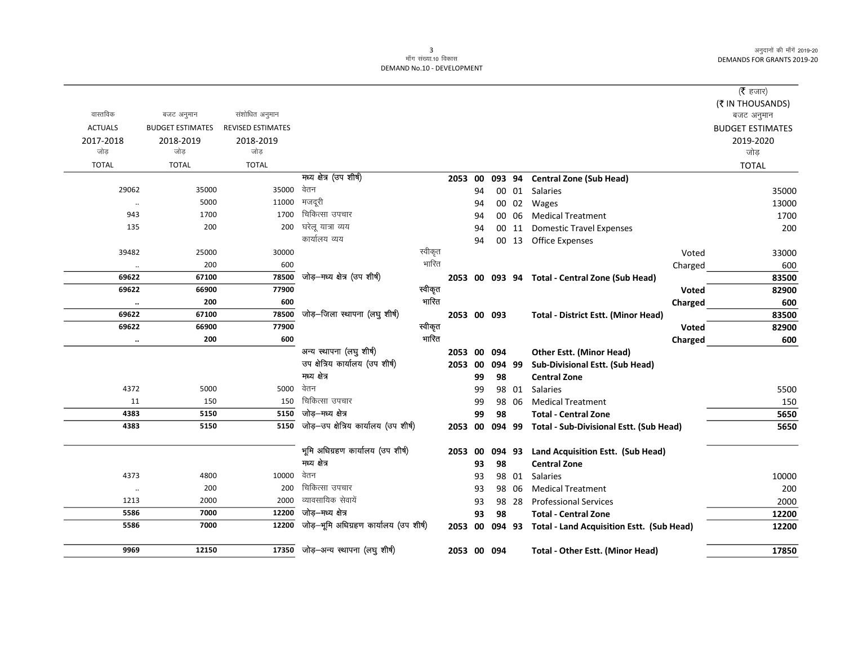$\overline{\phantom{0}}$ 

|                      |                         |                          |                                        |         |                |    |           |       |                                                  |         | ( $\bar{\tau}$ हजार)    |
|----------------------|-------------------------|--------------------------|----------------------------------------|---------|----------------|----|-----------|-------|--------------------------------------------------|---------|-------------------------|
|                      |                         |                          |                                        |         |                |    |           |       |                                                  |         | (₹ IN THOUSANDS)        |
| वास्तविक             | बजट अनुमान              | संशोधित अनुमान           |                                        |         |                |    |           |       |                                                  |         | बजट अनुमान              |
| <b>ACTUALS</b>       | <b>BUDGET ESTIMATES</b> | <b>REVISED ESTIMATES</b> |                                        |         |                |    |           |       |                                                  |         | <b>BUDGET ESTIMATES</b> |
| 2017-2018            | 2018-2019               | 2018-2019                |                                        |         |                |    |           |       |                                                  |         | 2019-2020               |
| जोड़                 | जोड                     | जोड़                     |                                        |         |                |    |           |       |                                                  |         | जोड़                    |
| <b>TOTAL</b>         | <b>TOTAL</b>            | <b>TOTAL</b>             |                                        |         |                |    |           |       |                                                  |         | <b>TOTAL</b>            |
|                      |                         |                          | मध्य क्षेत्र (उप शीर्ष)                |         | 2053 00        |    |           |       | 093 94 Central Zone (Sub Head)                   |         |                         |
| 29062                | 35000                   | 35000                    | वेतन                                   |         |                | 94 |           |       | 00 01 Salaries                                   |         | 35000                   |
| $\ddotsc$            | 5000                    | 11000                    | मजदूरी                                 |         |                | 94 |           |       | 00 02 Wages                                      |         | 13000                   |
| 943                  | 1700                    | 1700                     | चिकित्सा उपचार                         |         |                | 94 |           | 00 06 | <b>Medical Treatment</b>                         |         | 1700                    |
| 135                  | 200                     | 200                      | घरेलू यात्रा व्यय                      |         |                | 94 |           |       | 00 11 Domestic Travel Expenses                   |         | 200                     |
|                      |                         |                          | कार्यालय व्यय                          |         |                | 94 |           |       | 00 13 Office Expenses                            |         |                         |
| 39482                | 25000                   | 30000                    |                                        | स्वीकृत |                |    |           |       |                                                  | Voted   | 33000                   |
| $\ldots$             | 200                     | 600                      |                                        | भारित   |                |    |           |       |                                                  | Charged | 600                     |
| 69622                | 67100                   | 78500                    | जोड़-मध्य क्षेत्र (उप शीर्ष)           |         |                |    |           |       | 2053 00 093 94 Total - Central Zone (Sub Head)   |         | 83500                   |
| 69622                | 66900                   | 77900                    |                                        | स्वीकृत |                |    |           |       |                                                  | Voted   | 82900                   |
| $\ddotsc$            | 200                     | 600                      |                                        | भारित   |                |    |           |       |                                                  | Charged | 600                     |
| 69622                | 67100                   | 78500                    | जोड़-जिला स्थापना (लघु शीर्ष)          |         | 2053 00 093    |    |           |       | <b>Total - District Estt. (Minor Head)</b>       |         | 83500                   |
| 69622                | 66900                   | 77900                    |                                        | स्वीकृत |                |    |           |       |                                                  | Voted   | 82900                   |
| $\ddot{\phantom{0}}$ | 200                     | 600                      |                                        | गारित   |                |    |           |       |                                                  | Charged | 600                     |
|                      |                         |                          | अन्य स्थापना (लघु शीर्ष)               |         | 2053 00 094    |    |           |       | <b>Other Estt. (Minor Head)</b>                  |         |                         |
|                      |                         |                          | उप क्षेत्रिय कार्यालय (उप शीर्ष)       |         | 2053           | 00 | 094 99    |       | Sub-Divisional Estt. (Sub Head)                  |         |                         |
|                      |                         |                          | मध्य क्षेत्र                           |         |                | 99 | 98        |       | <b>Central Zone</b>                              |         |                         |
| 4372                 | 5000                    | 5000                     | वेतन                                   |         |                | 99 |           |       | 98 01 Salaries                                   |         | 5500                    |
| 11                   | 150                     | 150                      | चिकित्सा उपचार                         |         |                | 99 |           | 98 06 | <b>Medical Treatment</b>                         |         | 150                     |
| 4383                 | 5150                    | 5150                     | जोड—गध्य क्षेत्र                       |         |                | 99 | 98        |       | <b>Total - Central Zone</b>                      |         | 5650                    |
| 4383                 | 5150                    | 5150                     | जोड़-उप क्षेत्रिय कार्यालय (उप शीर्ष)  |         | 2053 00 094 99 |    |           |       | Total - Sub-Divisional Estt. (Sub Head)          |         | 5650                    |
|                      |                         |                          |                                        |         |                |    |           |       |                                                  |         |                         |
|                      |                         |                          | भूमि अधिग्रहण कार्यालय (उप शीर्ष)      |         | 2053 00        |    | 094 93    |       | Land Acquisition Estt. (Sub Head)                |         |                         |
|                      |                         |                          | मध्य क्षेत्र                           |         |                | 93 | 98        |       | <b>Central Zone</b>                              |         |                         |
| 4373                 | 4800                    | 10000                    | वेतन                                   |         |                | 93 |           | 98 01 | Salaries                                         |         | 10000                   |
| $\ddotsc$            | 200                     | 200                      | चिकित्सा उपचार                         |         |                | 93 |           | 98 06 | <b>Medical Treatment</b>                         |         | 200                     |
| 1213                 | 2000                    | 2000                     | व्यावसायिक सेवायें                     |         |                | 93 |           | 98 28 | <b>Professional Services</b>                     |         | 2000                    |
| 5586                 | 7000                    | 12200                    | जोड़—मध्य क्षेत्र                      |         |                | 93 | 98        |       | <b>Total - Central Zone</b>                      |         | 12200                   |
| 5586                 | 7000                    | 12200                    | जोड़-भूमि अधिग्रहण कार्यालय (उप शीर्ष) |         | 2053           |    | 00 094 93 |       | <b>Total - Land Acquisition Estt. (Sub Head)</b> |         | 12200                   |
|                      |                         |                          |                                        |         |                |    |           |       |                                                  |         |                         |
| 9969                 | 12150                   |                          | $17350$ जोड़-अन्य स्थापना (लघु शीर्ष)  |         | 2053 00 094    |    |           |       | <b>Total - Other Estt. (Minor Head)</b>          |         | 17850                   |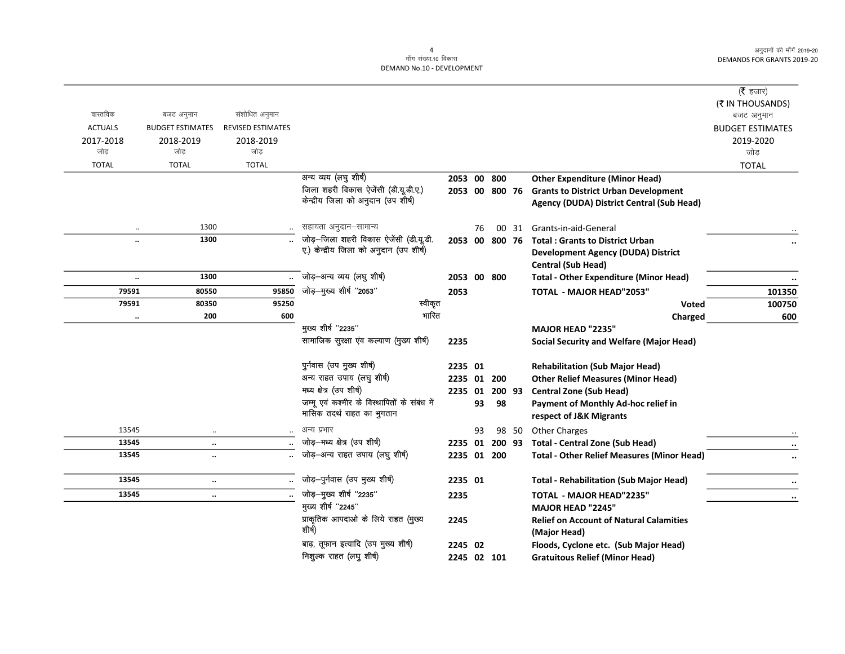$\overline{\phantom{0}}$ 

|                |                         |                          |                                              |             |    |        |       |                                                     | ( $\bar{\tau}$ हजार)<br>(₹ IN THOUSANDS) |
|----------------|-------------------------|--------------------------|----------------------------------------------|-------------|----|--------|-------|-----------------------------------------------------|------------------------------------------|
| वास्तविक       | बजट अनुमान              | संशोधित अनुमान           |                                              |             |    |        |       |                                                     | बजट अनुमान                               |
| <b>ACTUALS</b> | <b>BUDGET ESTIMATES</b> | <b>REVISED ESTIMATES</b> |                                              |             |    |        |       |                                                     | <b>BUDGET ESTIMATES</b>                  |
| 2017-2018      | 2018-2019               | 2018-2019                |                                              |             |    |        |       |                                                     | 2019-2020                                |
| जोड़           | जोड़                    | जोड़                     |                                              |             |    |        |       |                                                     | जोड़                                     |
| <b>TOTAL</b>   | <b>TOTAL</b>            | <b>TOTAL</b>             |                                              |             |    |        |       |                                                     | <b>TOTAL</b>                             |
|                |                         |                          | अन्य व्यय (लघु शीर्ष)                        | 2053 00 800 |    |        |       | <b>Other Expenditure (Minor Head)</b>               |                                          |
|                |                         |                          | जिला शहरी विकास ऐजेंसी (डी.यू.डी.ए.)         |             |    |        |       | 2053 00 800 76 Grants to District Urban Development |                                          |
|                |                         |                          | केन्द्रीय जिला को अनुदान (उप शीर्ष)          |             |    |        |       | Agency (DUDA) District Central (Sub Head)           |                                          |
| $\ldots$       | 1300                    |                          | सहायता अनुदान-सामान्य                        |             | 76 |        | 00 31 | Grants-in-aid-General                               |                                          |
|                | 1300                    |                          | जोड़-जिला शहरी विकास ऐजेंसी (डी.यू.डी.       |             |    |        |       | 2053 00 800 76 Total : Grants to District Urban     | $\ddotsc$                                |
|                |                         |                          | ए.) केन्द्रीय जिला को अनुदान (उप शीर्ष)      |             |    |        |       | <b>Development Agency (DUDA) District</b>           |                                          |
|                |                         |                          |                                              |             |    |        |       | <b>Central (Sub Head)</b>                           |                                          |
|                | 1300                    |                          | जोड़-अन्य व्यय (लघु शीर्ष)                   | 2053 00 800 |    |        |       | <b>Total - Other Expenditure (Minor Head)</b>       | $\ldots$                                 |
| 79591          | 80550                   | 95850                    | जोड़—मुख्य शीर्ष "2053"                      | 2053        |    |        |       | <b>TOTAL - MAJOR HEAD"2053"</b>                     | 101350                                   |
| 79591          | 80350                   | 95250                    | स्वीकृत                                      |             |    |        |       | <b>Voted</b>                                        | 100750                                   |
| $\cdots$       | 200                     | 600                      | भारित                                        |             |    |        |       | Charged                                             | 600                                      |
|                |                         |                          | मुख्य शीर्ष "2235"                           |             |    |        |       | <b>MAJOR HEAD "2235"</b>                            |                                          |
|                |                         |                          | सामाजिक सुरक्षा एव कल्याण (मुख्य शीर्ष)      | 2235        |    |        |       | <b>Social Security and Welfare (Major Head)</b>     |                                          |
|                |                         |                          | पुर्नवास (उप मुख्य शीर्ष)                    | 2235 01     |    |        |       | <b>Rehabilitation (Sub Major Head)</b>              |                                          |
|                |                         |                          | अन्य राहत उपाय (लघु शीर्ष)                   | 2235 01     |    | 200    |       | <b>Other Relief Measures (Minor Head)</b>           |                                          |
|                |                         |                          | मध्य क्षेत्र (उप शीर्ष)                      | 2235 01     |    | 200 93 |       | <b>Central Zone (Sub Head)</b>                      |                                          |
|                |                         |                          | जम्मू एवं कश्मीर के विस्थापितों के संबंध में |             | 93 | 98     |       | Payment of Monthly Ad-hoc relief in                 |                                          |
|                |                         |                          | मासिक तदर्थ राहत का भुगतान                   |             |    |        |       | respect of J&K Migrants                             |                                          |
| 13545          | $\ldots$                |                          | अन्य प्रभार                                  |             | 93 |        | 98 50 | <b>Other Charges</b>                                |                                          |
| 13545          | $\ddotsc$               |                          | जोड़-मध्य क्षेत्र (उप शीर्ष)                 | 2235 01     |    | 200 93 |       | <b>Total - Central Zone (Sub Head)</b>              | $\ldots$                                 |
| 13545          | $\ddotsc$               |                          | जोड़-अन्य राहत उपाय (लघु शीर्ष)              | 2235 01 200 |    |        |       | <b>Total - Other Relief Measures (Minor Head)</b>   | $\ddotsc$                                |
| 13545          | $\ddotsc$               |                          | जोड़-पुर्नवास (उप मुख्य शीर्ष)               | 2235 01     |    |        |       | <b>Total - Rehabilitation (Sub Major Head)</b>      | $\ddotsc$                                |
| 13545          | $\ldots$                |                          | जोड़-मुख्य शीर्ष "2235"                      | 2235        |    |        |       | <b>TOTAL - MAJOR HEAD"2235"</b>                     | $\ddotsc$                                |
|                |                         |                          | मुख्य शीर्ष "2245"                           |             |    |        |       | <b>MAJOR HEAD "2245"</b>                            |                                          |
|                |                         |                          | प्राकृतिक आपदाओं के लिये राहत (मुख्य         | 2245        |    |        |       | <b>Relief on Account of Natural Calamities</b>      |                                          |
|                |                         |                          | शीर्ष)                                       |             |    |        |       | (Major Head)                                        |                                          |
|                |                         |                          | बाढ़, तूफान इत्यादि (उप मुख्य शीर्ष)         | 2245 02     |    |        |       | Floods, Cyclone etc. (Sub Major Head)               |                                          |
|                |                         |                          | निशुल्क राहत (लघु शीर्ष)                     | 2245 02 101 |    |        |       | <b>Gratuitous Relief (Minor Head)</b>               |                                          |